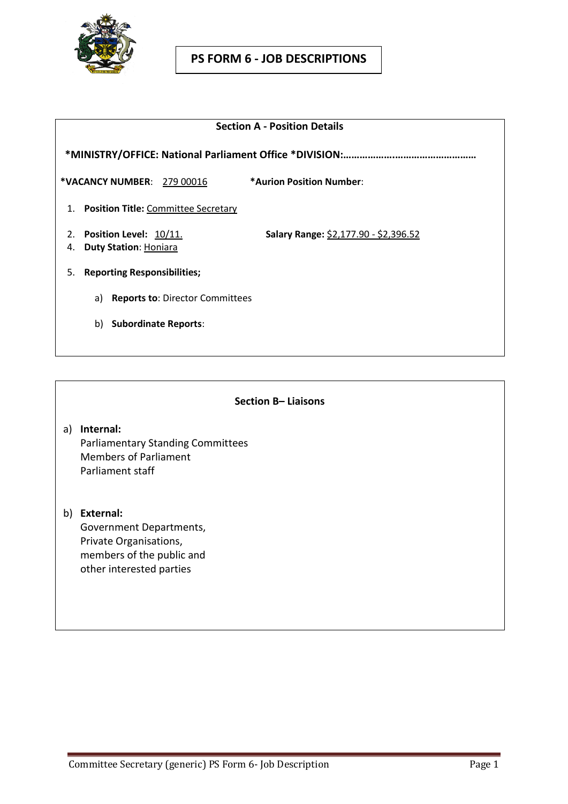

#### **Section A - Position Details**

 **\*MINISTRY/OFFICE: National Parliament Office \*DIVISION:……………….…………………………**

**\*VACANCY NUMBER**: 279 00016 **\*Aurion Position Number**:

- 1. **Position Title:** Committee Secretary
- 

2. **Position Level:** 10/11. **Salary Range:** \$2,177.90 - \$2,396.52

- 4. **Duty Station**: Honiara
- 5. **Reporting Responsibilities;**
	- a) **Reports to**: Director Committees
	- b) **Subordinate Reports**:

#### **Section B– Liaisons**

- a) **Internal:** Parliamentary Standing Committees Members of Parliament Parliament staff
- b) **External:** Government Departments, Private Organisations, members of the public and other interested parties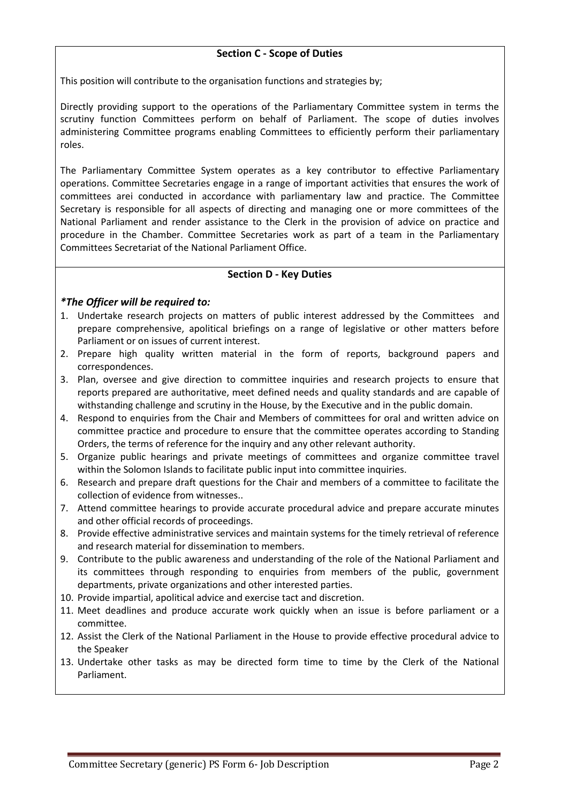## **Section C - Scope of Duties**

This position will contribute to the organisation functions and strategies by;

Directly providing support to the operations of the Parliamentary Committee system in terms the scrutiny function Committees perform on behalf of Parliament. The scope of duties involves administering Committee programs enabling Committees to efficiently perform their parliamentary roles.

The Parliamentary Committee System operates as a key contributor to effective Parliamentary operations. Committee Secretaries engage in a range of important activities that ensures the work of committees arei conducted in accordance with parliamentary law and practice. The Committee Secretary is responsible for all aspects of directing and managing one or more committees of the National Parliament and render assistance to the Clerk in the provision of advice on practice and procedure in the Chamber. Committee Secretaries work as part of a team in the Parliamentary Committees Secretariat of the National Parliament Office.

# **Section D - Key Duties**

# *\*The Officer will be required to:*

- 1. Undertake research projects on matters of public interest addressed by the Committees and prepare comprehensive, apolitical briefings on a range of legislative or other matters before Parliament or on issues of current interest.
- 2. Prepare high quality written material in the form of reports, background papers and correspondences.
- 3. Plan, oversee and give direction to committee inquiries and research projects to ensure that reports prepared are authoritative, meet defined needs and quality standards and are capable of withstanding challenge and scrutiny in the House, by the Executive and in the public domain.
- 4. Respond to enquiries from the Chair and Members of committees for oral and written advice on committee practice and procedure to ensure that the committee operates according to Standing Orders, the terms of reference for the inquiry and any other relevant authority.
- 5. Organize public hearings and private meetings of committees and organize committee travel within the Solomon Islands to facilitate public input into committee inquiries.
- 6. Research and prepare draft questions for the Chair and members of a committee to facilitate the collection of evidence from witnesses..
- 7. Attend committee hearings to provide accurate procedural advice and prepare accurate minutes and other official records of proceedings.
- 8. Provide effective administrative services and maintain systems for the timely retrieval of reference and research material for dissemination to members.
- 9. Contribute to the public awareness and understanding of the role of the National Parliament and its committees through responding to enquiries from members of the public, government departments, private organizations and other interested parties.
- 10. Provide impartial, apolitical advice and exercise tact and discretion.
- 11. Meet deadlines and produce accurate work quickly when an issue is before parliament or a committee.
- 12. Assist the Clerk of the National Parliament in the House to provide effective procedural advice to the Speaker
- 13. Undertake other tasks as may be directed form time to time by the Clerk of the National Parliament.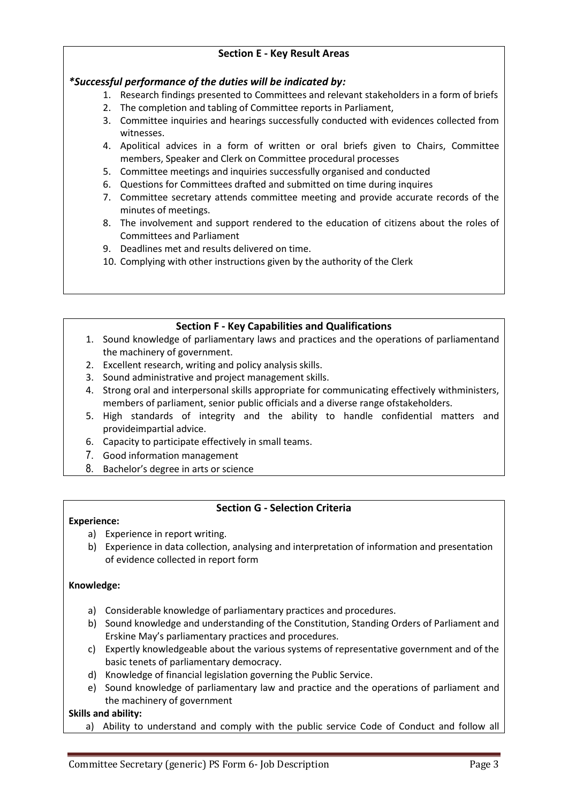# **Section E - Key Result Areas**

# *\*Successful performance of the duties will be indicated by:*

- 1. Research findings presented to Committees and relevant stakeholders in a form of briefs
- 2. The completion and tabling of Committee reports in Parliament,
- 3. Committee inquiries and hearings successfully conducted with evidences collected from witnesses.
- 4. Apolitical advices in a form of written or oral briefs given to Chairs, Committee members, Speaker and Clerk on Committee procedural processes
- 5. Committee meetings and inquiries successfully organised and conducted
- 6. Questions for Committees drafted and submitted on time during inquires
- 7. Committee secretary attends committee meeting and provide accurate records of the minutes of meetings.
- 8. The involvement and support rendered to the education of citizens about the roles of Committees and Parliament
- 9. Deadlines met and results delivered on time.
- 10. Complying with other instructions given by the authority of the Clerk

# **Section F - Key Capabilities and Qualifications**

- 1. Sound knowledge of parliamentary laws and practices and the operations of parliamentand the machinery of government.
- 2. Excellent research, writing and policy analysis skills.
- 3. Sound administrative and project management skills.
- 4. Strong oral and interpersonal skills appropriate for communicating effectively withministers, members of parliament, senior public officials and a diverse range ofstakeholders.
- 5. High standards of integrity and the ability to handle confidential matters and provideimpartial advice.
- 6. Capacity to participate effectively in small teams.
- 7. Good information management
- 8. Bachelor's degree in arts or science

## **Section G - Selection Criteria**

## **Experience:**

- a) Experience in report writing.
- b) Experience in data collection, analysing and interpretation of information and presentation of evidence collected in report form

## **Knowledge:**

- a) Considerable knowledge of parliamentary practices and procedures.
- b) Sound knowledge and understanding of the Constitution, Standing Orders of Parliament and Erskine May's parliamentary practices and procedures.
- c) Expertly knowledgeable about the various systems of representative government and of the basic tenets of parliamentary democracy.
- d) Knowledge of financial legislation governing the Public Service.
- e) Sound knowledge of parliamentary law and practice and the operations of parliament and the machinery of government

## **Skills and ability:**

a) Ability to understand and comply with the public service Code of Conduct and follow all